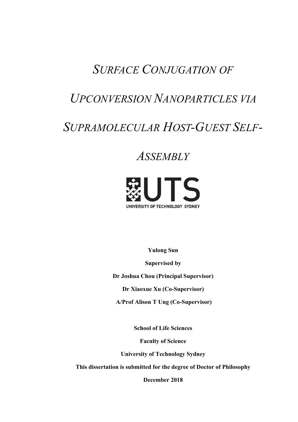## **SURFACE CONJUGATION OF**

## **UPCONVERSION NANOPARTICLES VIA**

# SUPRAMOLECULAR HOST-GUEST SELF-

## **ASSEMBLY**



**Yulong Sun** 

**Supervised by** 

Dr Joshua Chou (Principal Supervisor)

Dr Xiaoxue Xu (Co-Supervisor)

**A/Prof Alison T Ung (Co-Supervisor)** 

**School of Life Sciences** 

**Faculty of Science** 

**University of Technology Sydney** 

This dissertation is submitted for the degree of Doctor of Philosophy

December 2018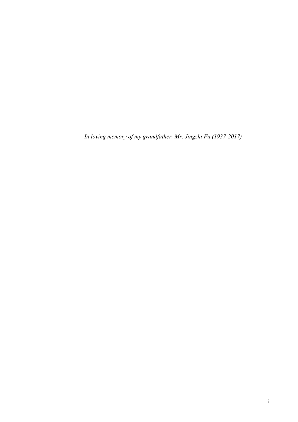In loving memory of my grandfather, Mr. Jingzhi Fu (1937-2017)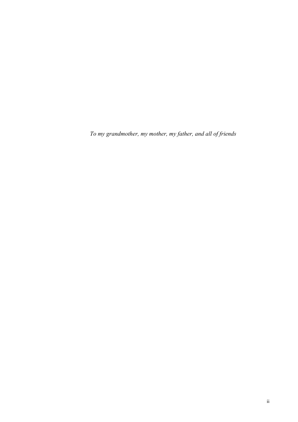To my grandmother, my mother, my father, and all of friends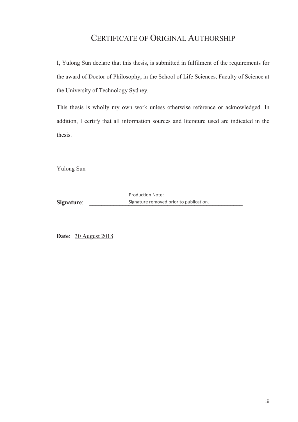### CERTIFICATE OF ORIGINAL AUTHORSHIP

I, Yulong Sun declare that this thesis, is submitted in fulfilment of the requirements for the award of Doctor of Philosophy, in the School of Life Sciences, Faculty of Science at the University of Technology Sydney.

This thesis is wholly my own work unless otherwise reference or acknowledged. In addition, I certify that all information sources and literature used are indicated in the thesis.

Yulong Sun

**Signature**: The Signature removed prior to publication. Production Note:

**Date**: 30 August 2018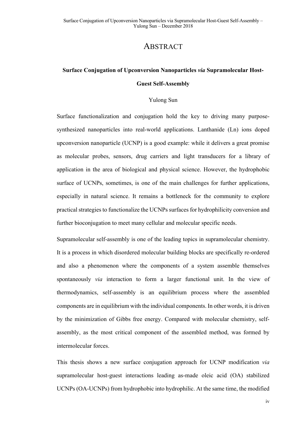### **ABSTRACT**

### **Surface Conjugation of Upconversion Nanoparticles via Supramolecular Host-Guest Self-Assembly**

#### Yulong Sun

Surface functionalization and conjugation hold the key to driving many purposesynthesized nanoparticles into real-world applications. Lanthanide  $(Ln)$  ions doped upconversion nanoparticle (UCNP) is a good example: while it delivers a great promise as molecular probes, sensors, drug carriers and light transducers for a library of application in the area of biological and physical science. However, the hydrophobic surface of UCNPs, sometimes, is one of the main challenges for further applications, especially in natural science. It remains a bottleneck for the community to explore practical strategies to functionalize the UCNPs surfaces for hydrophilicity conversion and further bioconjugation to meet many cellular and molecular specific needs.

Supramolecular self-assembly is one of the leading topics in supramolecular chemistry. It is a process in which disordered molecular building blocks are specifically re-ordered and also a phenomenon where the components of a system assemble themselves spontaneously *via* interaction to form a larger functional unit. In the view of thermodynamics, self-assembly is an equilibrium process where the assembled components are in equilibrium with the individual components. In other words, it is driven by the minimization of Gibbs free energy. Compared with molecular chemistry, selfassembly, as the most critical component of the assembled method, was formed by intermolecular forces.

This thesis shows a new surface conjugation approach for UCNP modification *via* supramolecular host-guest interactions leading as-made oleic acid (OA) stabilized UCNPs (OA-UCNPs) from hydrophobic into hydrophilic. At the same time, the modified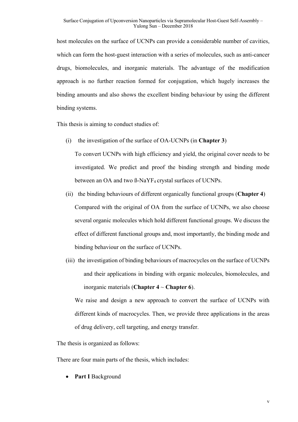host molecules on the surface of UCNPs can provide a considerable number of cavities, which can form the host-guest interaction with a series of molecules, such as anti-cancer drugs, biomolecules, and inorganic materials. The advantage of the modification approach is no further reaction formed for conjugation, which hugely increases the binding amounts and also shows the excellent binding behaviour by using the different binding systems.

This thesis is aiming to conduct studies of:

 $(i)$  the investigation of the surface of OA-UCNPs  $(in Chapter 3)$ 

To convert UCNPs with high efficiency and yield, the original cover needs to be investigated. We predict and proof the binding strength and binding mode between an OA and two  $\beta$ -NaYF<sub>4</sub> crystal surfaces of UCNPs.

- (ii) the binding behaviours of different organically functional groups (**Chapter 4**) Compared with the original of OA from the surface of UCNPs, we also choose several organic molecules which hold different functional groups. We discuss the effect of different functional groups and, most importantly, the binding mode and binding behaviour on the surface of UCNPs.
- (iii) the investigation of binding behaviours of macrocycles on the surface of UCNPs and their applications in binding with organic molecules, biomolecules, and inorganic materials (Chapter  $4 \sim$  Chapter 6).

We raise and design a new approach to convert the surface of UCNPs with different kinds of macrocycles. Then, we provide three applications in the areas of drug delivery, cell targeting, and energy transfer.

The thesis is organized as follows:

There are four main parts of the thesis, which includes:

Part I Background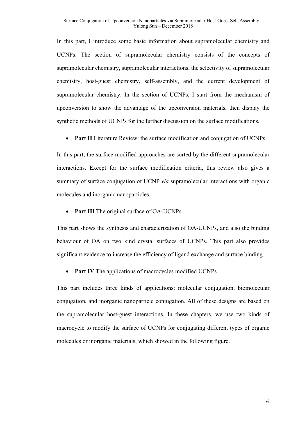In this part, I introduce some basic information about supramolecular chemistry and UCNPs. The section of supramolecular chemistry consists of the concepts of supramolecular chemistry, supramolecular interactions, the selectivity of supramolecular chemistry, host-guest chemistry, self-assembly, and the current development of supramolecular chemistry. In the section of UCNPs, I start from the mechanism of upconversion to show the advantage of the upconversion materials, then display the synthetic methods of UCNPs for the further discussion on the surface modifications.

• **Part II** Literature Review: the surface modification and conjugation of UCNPs.

In this part, the surface modified approaches are sorted by the different supramolecular interactions. Except for the surface modification criteria, this review also gives a summary of surface conjugation of UCNP *via* supramolecular interactions with organic molecules and inorganic nanoparticles.

Part III The original surface of OA-UCNPs

This part shows the synthesis and characterization of OA-UCNPs, and also the binding behaviour of OA on two kind crystal surfaces of UCNPs. This part also provides significant evidence to increase the efficiency of ligand exchange and surface binding.

**Part IV** The applications of macrocycles modified UCNPs

This part includes three kinds of applications: molecular conjugation, biomolecular conjugation, and inorganic nanoparticle conjugation. All of these designs are based on the supramolecular host-guest interactions. In these chapters, we use two kinds of macrocycle to modify the surface of UCNPs for conjugating different types of organic molecules or inorganic materials, which showed in the following figure.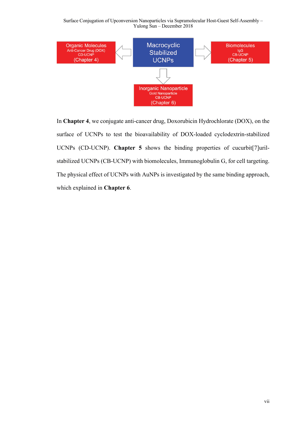Surface Conjugation of Upconversion Nanoparticles via Supramolecular Host-Guest Self-Assembly -Yulong  $Sun$  – December 2018



In Chapter 4, we conjugate anti-cancer drug, Doxorubicin Hydrochlorate (DOX), on the surface of UCNPs to test the bioavailability of DOX-loaded cyclodextrin-stabilized UCNPs (CD-UCNP). Chapter 5 shows the binding properties of cucurbit<sup>[7]</sup>urilstabilized UCNPs (CB-UCNP) with biomolecules, Immunoglobulin G, for cell targeting. The physical effect of UCNPs with AuNPs is investigated by the same binding approach, which explained in **Chapter 6**.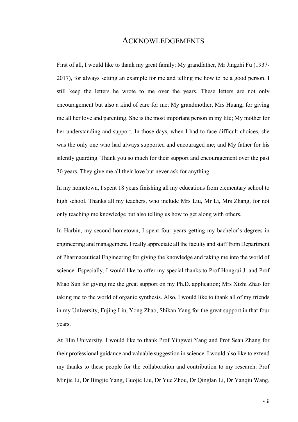#### **ACKNOWLEDGEMENTS**

First of all, I would like to thank my great family: My grandfather, Mr Jingzhi Fu (1937-2017), for always setting an example for me and telling me how to be a good person. I still keep the letters he wrote to me over the years. These letters are not only encouragement but also a kind of care for me; My grandmother, Mrs Huang, for giving me all her love and parenting. She is the most important person in my life: My mother for her understanding and support. In those days, when I had to face difficult choices, she was the only one who had always supported and encouraged me; and My father for his silently guarding. Thank you so much for their support and encouragement over the past 30 years. They give me all their love but never ask for anything.

In my hometown, I spent 18 years finishing all my educations from elementary school to high school. Thanks all my teachers, who include Mrs Liu, Mr Li, Mrs Zhang, for not only teaching me knowledge but also telling us how to get along with others.

In Harbin, my second hometown, I spent four years getting my bachelor's degrees in engineering and management. I really appreciate all the faculty and staff from Department of Pharmaceutical Engineering for giving the knowledge and taking me into the world of science. Especially, I would like to offer my special thanks to Prof Hongrui Ji and Prof Miao Sun for giving me the great support on my Ph.D. application; Mrs Xizhi Zhao for taking me to the world of organic synthesis. Also, I would like to thank all of my friends in my University, Fujing Liu, Yong Zhao, Shikan Yang for the great support in that four years.

At Jilin University, I would like to thank Prof Yingwei Yang and Prof Sean Zhang for their professional guidance and valuable suggestion in science. I would also like to extend my thanks to these people for the collaboration and contribution to my research: Prof Minjie Li, Dr Bingjie Yang, Guojie Liu, Dr Yue Zhou, Dr Qinglan Li, Dr Yanqiu Wang,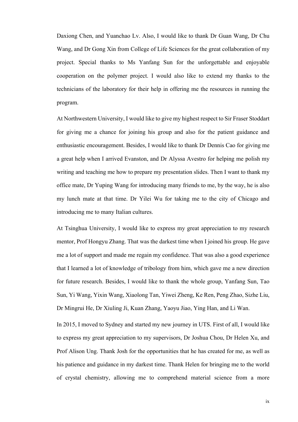Daxiong Chen, and Yuanchao Lv. Also, I would like to thank Dr Guan Wang, Dr Chu Wang, and Dr Gong Xin from College of Life Sciences for the great collaboration of my project. Special thanks to Ms Yanfang Sun for the unforgettable and enjoyable cooperation on the polymer project. I would also like to extend my thanks to the technicians of the laboratory for their help in offering me the resources in running the program.

At Northwestern University, I would like to give my highest respect to Sir Fraser Stoddart for giving me a chance for joining his group and also for the patient guidance and enthusiastic encouragement. Besides, I would like to thank Dr Dennis Cao for giving me a great help when I arrived Evanston, and Dr Alyssa Avestro for helping me polish my writing and teaching me how to prepare my presentation slides. Then I want to thank my office mate, Dr Yuping Wang for introducing many friends to me, by the way, he is also my lunch mate at that time. Dr Yilei Wu for taking me to the city of Chicago and introducing me to many Italian cultures.

At Tsinghua University, I would like to express my great appreciation to my research mentor, Prof Hongyu Zhang. That was the darkest time when I joined his group. He gave me a lot of support and made me regain my confidence. That was also a good experience that I learned a lot of knowledge of tribology from him, which gave me a new direction for future research. Besides, I would like to thank the whole group, Yanfang Sun, Tao Sun, Yi Wang, Yixin Wang, Xiaolong Tan, Yiwei Zheng, Ke Ren, Peng Zhao, Sizhe Liu, Dr Mingrui He, Dr Xiuling Ji, Kuan Zhang, Yaoyu Jiao, Ying Han, and Li Wan.

In 2015, I moved to Sydney and started my new journey in UTS. First of all, I would like to express my great appreciation to my supervisors, Dr Joshua Chou, Dr Helen Xu, and Prof Alison Ung. Thank Josh for the opportunities that he has created for me, as well as his patience and guidance in my darkest time. Thank Helen for bringing me to the world of crystal chemistry, allowing me to comprehend material science from a more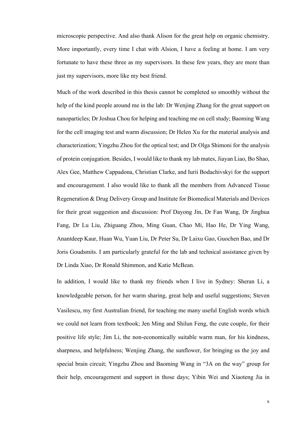microscopic perspective. And also thank Alison for the great help on organic chemistry. More importantly, every time I chat with Alsion, I have a feeling at home. I am very fortunate to have these three as my supervisors. In these few years, they are more than just my supervisors, more like my best friend.

Much of the work described in this thesis cannot be completed so smoothly without the help of the kind people around me in the lab: Dr Wenjing Zhang for the great support on nanoparticles; Dr Joshua Chou for helping and teaching me on cell study; Baoming Wang for the cell imaging test and warm discussion; Dr Helen Xu for the material analysis and characterization; Yingzhu Zhou for the optical test; and Dr Olga Shimoni for the analysis of protein conjugation. Besides, I would like to thank my lab mates, Jiayan Liao, Bo Shao, Alex Gee, Matthew Cappadona, Christian Clarke, and Iurii Bodachivskyi for the support and encouragement. I also would like to thank all the members from Advanced Tissue Regeneration & Drug Delivery Group and Institute for Biomedical Materials and Devices for their great suggestion and discussion: Prof Dayong Jin, Dr Fan Wang, Dr Jinghua Fang, Dr Lu Liu, Zhiguang Zhou, Ming Guan, Chao Mi, Hao He, Dr Ying Wang, Anantdeep Kaur, Huan Wu, Yuan Liu, Dr Peter Su, Dr Laixu Gao, Guochen Bao, and Dr Joris Goudsmits. I am particularly grateful for the lab and technical assistance given by Dr Linda Xiao, Dr Ronald Shimmon, and Katie McBean.

In addition, I would like to thank my friends when I live in Sydney: Sheran Li, a knowledgeable person, for her warm sharing, great help and useful suggestions; Steven Vasilescu, my first Australian friend, for teaching me many useful English words which we could not learn from textbook; Jen Ming and Shilun Feng, the cute couple, for their positive life style; Jim Li, the non-economically suitable warm man, for his kindness, sharpness, and helpfulness; Wenjing Zhang, the sunflower, for bringing us the joy and special brain circuit; Yingzhu Zhou and Baoming Wang in "3A on the way" group for their help, encouragement and support in those days; Yibin Wei and Xiaoteng Jia in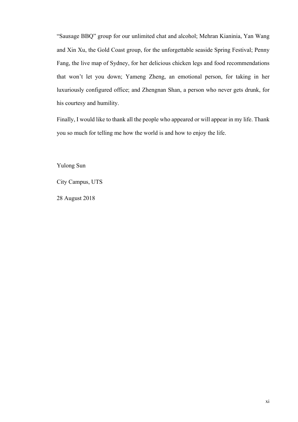"Sausage BBQ" group for our unlimited chat and alcohol; Mehran Kianinia, Yan Wang and Xin Xu, the Gold Coast group, for the unforgettable seaside Spring Festival; Penny Fang, the live map of Sydney, for her delicious chicken legs and food recommendations that won't let you down; Yameng Zheng, an emotional person, for taking in her luxuriously configured office; and Zhengnan Shan, a person who never gets drunk, for his courtesy and humility.

Finally, I would like to thank all the people who appeared or will appear in my life. Thank you so much for telling me how the world is and how to enjoy the life.

Yulong Sun

City Campus, UTS

28 August 2018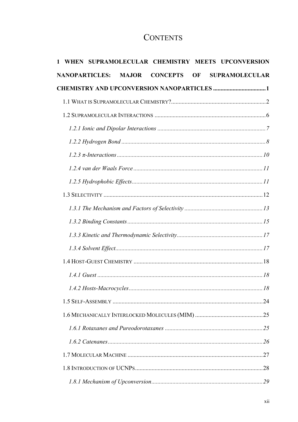### **CONTENTS**

|  |                       |              | WHEN SUPRAMOLECULAR CHEMISTRY MEETS UPCONVERSION   |  |                       |
|--|-----------------------|--------------|----------------------------------------------------|--|-----------------------|
|  | <b>NANOPARTICLES:</b> | <b>MAJOR</b> | <b>CONCEPTS OF</b>                                 |  | <b>SUPRAMOLECULAR</b> |
|  |                       |              | <b>CHEMISTRY AND UPCONVERSION NANOPARTICLES  1</b> |  |                       |
|  |                       |              |                                                    |  |                       |
|  |                       |              |                                                    |  |                       |
|  |                       |              |                                                    |  |                       |
|  |                       |              |                                                    |  |                       |
|  |                       |              |                                                    |  |                       |
|  |                       |              |                                                    |  |                       |
|  |                       |              |                                                    |  |                       |
|  |                       |              |                                                    |  |                       |
|  |                       |              |                                                    |  |                       |
|  |                       |              |                                                    |  |                       |
|  |                       |              |                                                    |  |                       |
|  |                       |              |                                                    |  |                       |
|  |                       |              |                                                    |  |                       |
|  |                       |              |                                                    |  |                       |
|  |                       |              |                                                    |  |                       |
|  |                       |              |                                                    |  |                       |
|  |                       |              |                                                    |  |                       |
|  |                       |              |                                                    |  |                       |
|  |                       |              |                                                    |  |                       |
|  |                       |              |                                                    |  |                       |
|  |                       |              |                                                    |  |                       |
|  |                       |              |                                                    |  |                       |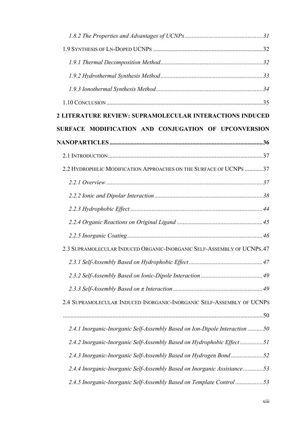| 2 LITERATURE REVIEW: SUPRAMOLECULAR INTERACTIONS INDUCED                    |  |
|-----------------------------------------------------------------------------|--|
| SURFACE MODIFICATION AND CONJUGATION OF UPCONVERSION                        |  |
|                                                                             |  |
|                                                                             |  |
| 2.2 HYDROPHILIC MODIFICATION APPROACHES ON THE SURFACE OF UCNPS  37         |  |
|                                                                             |  |
|                                                                             |  |
|                                                                             |  |
|                                                                             |  |
|                                                                             |  |
| 2.3 SUPRAMOLECULAR INDUCED ORGANIC-INORGANIC SELF-ASSEMBLY OF UCNPS. 47     |  |
|                                                                             |  |
|                                                                             |  |
|                                                                             |  |
| 2.4 SUPRAMOLECULAR INDUCED INORGANIC-INORGANIC SELF-ASSEMBLY OF UCNPS       |  |
|                                                                             |  |
| 2.4.1 Inorganic-Inorganic Self-Assembly Based on Ion-Dipole Interaction  50 |  |
| 2.4.2 Inorganic-Inorganic Self-Assembly Based on Hydrophobic Effect 51      |  |
| 2.4.3 Inorganic-Inorganic Self-Assembly Based on Hydrogen Bond52            |  |
| 2.4.4 Inorganic-Inorganic Self-Assembly Based on Inorganic Assistance 53    |  |
| 2.4.5 Inorganic-Inorganic Self-Assembly Based on Template Control53         |  |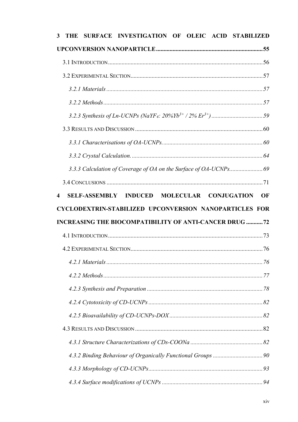| 3 | <b>THE</b> | SURFACE INVESTIGATION OF OLEIC ACID STABILIZED                |                                                        |  |                        |
|---|------------|---------------------------------------------------------------|--------------------------------------------------------|--|------------------------|
|   |            |                                                               |                                                        |  |                        |
|   |            |                                                               |                                                        |  |                        |
|   |            |                                                               |                                                        |  |                        |
|   |            |                                                               |                                                        |  |                        |
|   |            |                                                               |                                                        |  |                        |
|   |            |                                                               |                                                        |  |                        |
|   |            |                                                               |                                                        |  |                        |
|   |            |                                                               |                                                        |  |                        |
|   |            |                                                               |                                                        |  |                        |
|   |            |                                                               |                                                        |  |                        |
|   |            |                                                               |                                                        |  |                        |
| 4 |            | SELF-ASSEMBLY INDUCED MOLECULAR CONJUGATION                   |                                                        |  | $\overline{\text{OF}}$ |
|   |            |                                                               |                                                        |  |                        |
|   |            |                                                               | CYCLODEXTRIN-STABILIZED UPCONVERSION NANOPARTICLES FOR |  |                        |
|   |            | <b>INCREASING THE BIOCOMPATIBILITY OF ANTI-CANCER DRUG 72</b> |                                                        |  |                        |
|   |            |                                                               |                                                        |  |                        |
|   |            |                                                               |                                                        |  |                        |
|   |            |                                                               |                                                        |  |                        |
|   |            |                                                               |                                                        |  |                        |
|   |            |                                                               |                                                        |  |                        |
|   |            |                                                               |                                                        |  |                        |
|   |            |                                                               |                                                        |  |                        |
|   |            |                                                               |                                                        |  |                        |
|   |            |                                                               |                                                        |  |                        |
|   |            |                                                               |                                                        |  |                        |
|   |            |                                                               |                                                        |  |                        |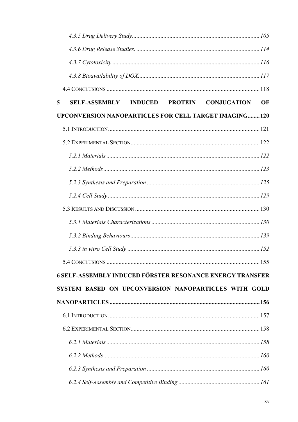| SELF-ASSEMBLY INDUCED PROTEIN CONJUGATION<br>5               | OF |
|--------------------------------------------------------------|----|
| <b>UPCONVERSION NANOPARTICLES FOR CELL TARGET IMAGING120</b> |    |
|                                                              |    |
|                                                              |    |
|                                                              |    |
|                                                              |    |
|                                                              |    |
|                                                              |    |
|                                                              |    |
|                                                              |    |
|                                                              |    |
|                                                              |    |
|                                                              |    |
| 6 SELF-ASSEMBLY INDUCED FÖRSTER RESONANCE ENERGY TRANSFER    |    |
| SYSTEM BASED ON UPCONVERSION NANOPARTICLES WITH GOLD         |    |
|                                                              |    |
|                                                              |    |
|                                                              |    |
|                                                              |    |
|                                                              |    |
|                                                              |    |
|                                                              |    |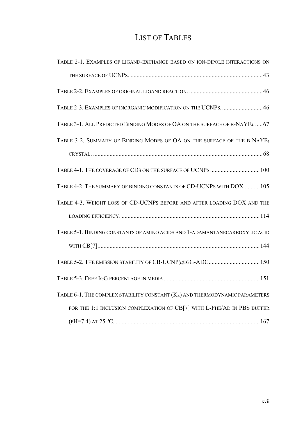## **LIST OF TABLES**

| TABLE 2-1. EXAMPLES OF LIGAND-EXCHANGE BASED ON ION-DIPOLE INTERACTIONS ON          |
|-------------------------------------------------------------------------------------|
|                                                                                     |
|                                                                                     |
| TABLE 2-3. EXAMPLES OF INORGANIC MODIFICATION ON THE UCNPS 46                       |
| TABLE 3-1. ALL PREDICTED BINDING MODES OF OA ON THE SURFACE OF B-NAYF4 67           |
| TABLE 3-2. SUMMARY OF BINDING MODES OF OA ON THE SURFACE OF THE B-NAYF <sub>4</sub> |
|                                                                                     |
| TABLE 4-1. THE COVERAGE OF CDS ON THE SURFACE OF UCNPS.  100                        |
| TABLE 4-2. THE SUMMARY OF BINDING CONSTANTS OF CD-UCNPS WITH DOX  105               |
| TABLE 4-3. WEIGHT LOSS OF CD-UCNPS BEFORE AND AFTER LOADING DOX AND THE             |
|                                                                                     |
| TABLE 5-1. BINDING CONSTANTS OF AMINO ACIDS AND 1-ADAMANTANECARBOXYLIC ACID         |
|                                                                                     |
|                                                                                     |
|                                                                                     |
| TABLE 6-1. THE COMPLEX STABILITY CONSTANT (KA) AND THERMODYNAMIC PARAMETERS         |
| FOR THE 1:1 INCLUSION COMPLEXATION OF CB[7] WITH L-PHE/AD IN PBS BUFFER             |
|                                                                                     |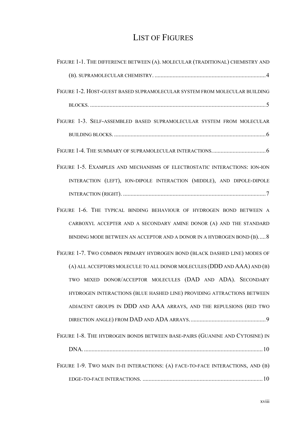### **LIST OF FIGURES**

| FIGURE 1-1. THE DIFFERENCE BETWEEN (A). MOLECULAR (TRADITIONAL) CHEMISTRY AND   |
|---------------------------------------------------------------------------------|
|                                                                                 |
| FIGURE 1-2. HOST-GUEST BASED SUPRAMOLECULAR SYSTEM FROM MOLECULAR BUILDING      |
|                                                                                 |
| FIGURE 1-3. SELF-ASSEMBLED BASED SUPRAMOLECULAR SYSTEM FROM MOLECULAR           |
|                                                                                 |
|                                                                                 |
| FIGURE 1-5. EXAMPLES AND MECHANISMS OF ELECTROSTATIC INTERACTIONS: ION-ION      |
| INTERACTION (LEFT), ION-DIPOLE INTERACTION (MIDDLE), AND DIPOLE-DIPOLE          |
|                                                                                 |
| FIGURE 1-6. THE TYPICAL BINDING BEHAVIOUR OF HYDROGEN BOND BETWEEN A            |
| CARBOXYL ACCEPTER AND A SECONDARY AMINE DONOR (A) AND THE STANDARD              |
| BINDING MODE BETWEEN AN ACCEPTOR AND A DONOR IN A HYDROGEN BOND (B) 8           |
| FIGURE 1-7. TWO COMMON PRIMARY HYDROGEN BOND (BLACK DASHED LINE) MODES OF       |
| (A) ALL ACCEPTORS MOLECULE TO ALL DONOR MOLECULES (DDD AND AAA) AND (B)         |
| TWO MIXED DONOR/ACCEPTOR MOLECULES (DAD AND ADA). SECONDARY                     |
| HYDROGEN INTERACTIONS (BLUE HASHED LINE) PROVIDING ATTRACTIONS BETWEEN          |
| ADJACENT GROUPS IN DDD AND AAA ARRAYS, AND THE REPULSIONS (RED TWO              |
|                                                                                 |
| FIGURE 1-8. THE HYDROGEN BONDS BETWEEN BASE-PAIRS (GUANINE AND CYTOSINE) IN     |
|                                                                                 |
| FIGURE 1-9. TWO MAIN II-II INTERACTIONS: (A) FACE-TO-FACE INTERACTIONS, AND (B) |
|                                                                                 |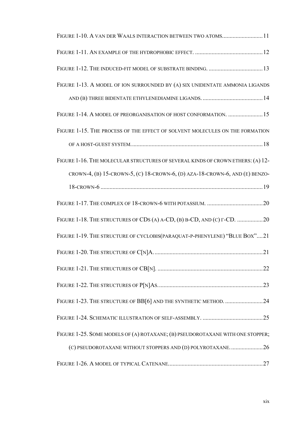| FIGURE 1-10. A VAN DER WAALS INTERACTION BETWEEN TWO ATOMS 11                   |
|---------------------------------------------------------------------------------|
|                                                                                 |
|                                                                                 |
| FIGURE 1-13. A MODEL OF ION SURROUNDED BY (A) SIX UNIDENTATE AMMONIA LIGANDS    |
|                                                                                 |
| FIGURE 1-14. A MODEL OF PREORGANISATION OF HOST CONFORMATION.  15               |
| FIGURE 1-15. THE PROCESS OF THE EFFECT OF SOLVENT MOLECULES ON THE FORMATION    |
|                                                                                 |
| FIGURE 1-16. THE MOLECULAR STRUCTURES OF SEVERAL KINDS OF CROWN ETHERS: (A) 12- |
| CROWN-4, (B) 15-CROWN-5, (C) 18-CROWN-6, (D) AZA-18-CROWN-6, AND (E) BENZO-     |
|                                                                                 |
|                                                                                 |
| FIGURE 1-18. THE STRUCTURES OF CDS (A) A-CD, (B) B-CD, AND (C) $\Gamma$ -CD. 20 |
| FIGURE 1-19. THE STRUCTURE OF CYCLOBIS(PARAQUAT-P-PHENYLENE) "BLUE BOX"21       |
|                                                                                 |
|                                                                                 |
|                                                                                 |
| FIGURE 1-23. THE STRUCTURE OF BB[6] AND THE SYNTHETIC METHOD. 24                |
|                                                                                 |
| FIGURE 1-25. SOME MODELS OF (A) ROTAXANE; (B) PSEUDOROTAXANE WITH ONE STOPPER;  |
| (C) PSEUDOROTAXANE WITHOUT STOPPERS AND (D) POLYROTAXANE26                      |
|                                                                                 |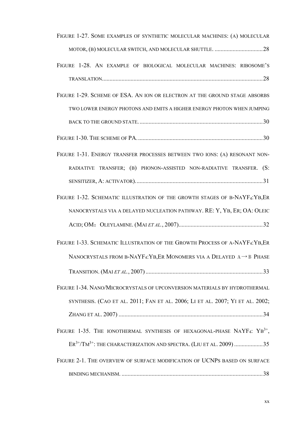| FIGURE 1-27. SOME EXAMPLES OF SYNTHETIC MOLECULAR MACHINES: (A) MOLECULAR           |
|-------------------------------------------------------------------------------------|
|                                                                                     |
| FIGURE 1-28. AN EXAMPLE OF BIOLOGICAL MOLECULAR MACHINES: RIBOSOME'S                |
|                                                                                     |
| FIGURE 1-29. SCHEME OF ESA. AN ION OR ELECTRON AT THE GROUND STAGE ABSORBS          |
| TWO LOWER ENERGY PHOTONS AND EMITS A HIGHER ENERGY PHOTON WHEN JUMPING              |
|                                                                                     |
|                                                                                     |
| FIGURE 1-31. ENERGY TRANSFER PROCESSES BETWEEN TWO IONS: (A) RESONANT NON-          |
| RADIATIVE TRANSFER; (B) PHONON-ASSISTED NON-RADIATIVE TRANSFER. (S:                 |
|                                                                                     |
| FIGURE 1-32. SCHEMATIC ILLUSTRATION OF THE GROWTH STAGES OF B-NAYF4:YB, ER          |
| NANOCRYSTALS VIA A DELAYED NUCLEATION PATHWAY. RE: Y, YB, ER; OA: OLEIC             |
|                                                                                     |
| FIGURE 1-33. SCHEMATIC ILLUSTRATION OF THE GROWTH PROCESS OF A-NAYF4:YB,ER          |
| NANOCRYSTALS FROM B-NAYF4: YB, ER MONOMERS VIA A DELAYED $A \rightarrow B$ PHASE    |
|                                                                                     |
| FIGURE 1-34. NANO/MICROCRYSTALS OF UPCONVERSION MATERIALS BY HYDROTHERMAL           |
| SYNTHESIS. (CAO ET AL. 2011; FAN ET AL. 2006; LI ET AL. 2007; YI ET AL. 2002;       |
|                                                                                     |
| FIGURE 1-35. THE IONOTHERMAL SYNTHESIS OF HEXAGONAL-PHASE NAYF4: YB <sup>3+</sup> , |
| $ER^{3+}/TM^{3+}$ : THE CHARACTERIZATION AND SPECTRA. (LIU ET AL. 2009) 35          |
| FIGURE 2-1. THE OVERVIEW OF SURFACE MODIFICATION OF UCNPS BASED ON SURFACE          |
|                                                                                     |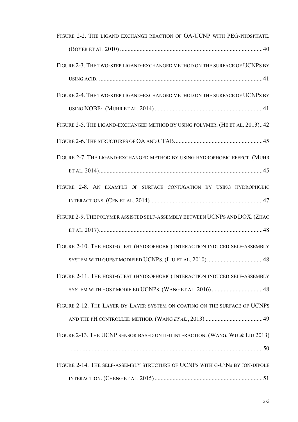| FIGURE 2-2. THE LIGAND EXCHANGE REACTION OF OA-UCNP WITH PEG-PHOSPHATE.                              |
|------------------------------------------------------------------------------------------------------|
|                                                                                                      |
| FIGURE 2-3. THE TWO-STEP LIGAND-EXCHANGED METHOD ON THE SURFACE OF UCNPS BY                          |
|                                                                                                      |
| FIGURE 2-4. THE TWO-STEP LIGAND-EXCHANGED METHOD ON THE SURFACE OF UCNPS BY                          |
|                                                                                                      |
| FIGURE 2-5. THE LIGAND-EXCHANGED METHOD BY USING POLYMER. (HE ET AL. 2013)42                         |
|                                                                                                      |
| FIGURE 2-7. THE LIGAND-EXCHANGED METHOD BY USING HYDROPHOBIC EFFECT. (MUHR                           |
|                                                                                                      |
| FIGURE 2-8. AN EXAMPLE OF SURFACE CONJUGATION BY USING HYDROPHOBIC                                   |
|                                                                                                      |
| FIGURE 2-9. THE POLYMER ASSISTED SELF-ASSEMBLY BETWEEN UCNPS AND DOX. (ZHAO                          |
|                                                                                                      |
| FIGURE 2-10. THE HOST-GUEST (HYDROPHOBIC) INTERACTION INDUCED SELF-ASSEMBLY                          |
|                                                                                                      |
| FIGURE 2-11. THE HOST-GUEST (HYDROPHOBIC) INTERACTION INDUCED SELF-ASSEMBLY                          |
|                                                                                                      |
| FIGURE 2-12. THE LAYER-BY-LAYER SYSTEM ON COATING ON THE SURFACE OF UCNPS                            |
|                                                                                                      |
| FIGURE 2-13. THE UCNP SENSOR BASED ON II-II INTERACTION. (WANG, WU & LIU 2013)                       |
|                                                                                                      |
| FIGURE 2-14. THE SELF-ASSEMBLY STRUCTURE OF UCNPS WITH G-C <sub>3</sub> N <sub>4</sub> BY ION-DIPOLE |
|                                                                                                      |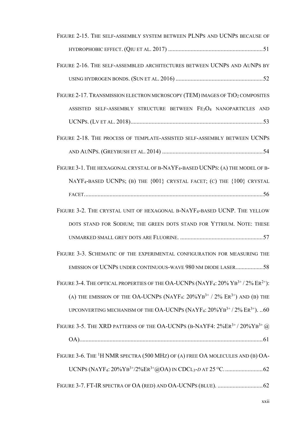| FIGURE 2-15. THE SELF-ASSEMBLY SYSTEM BETWEEN PLNPS AND UCNPS BECAUSE OF                                           |
|--------------------------------------------------------------------------------------------------------------------|
|                                                                                                                    |
| FIGURE 2-16. THE SELF-ASSEMBLED ARCHITECTURES BETWEEN UCNPS AND AUNPS BY                                           |
|                                                                                                                    |
| FIGURE 2-17. TRANSMISSION ELECTRON MICROSCOPY (TEM) IMAGES OF TIO <sub>2</sub> COMPOSITES                          |
| ASSISTED SELF-ASSEMBLY STRUCTURE BETWEEN FE3O4 NANOPARTICLES AND                                                   |
|                                                                                                                    |
| FIGURE 2-18. THE PROCESS OF TEMPLATE-ASSISTED SELF-ASSEMBLY BETWEEN UCNPS                                          |
|                                                                                                                    |
| FIGURE 3-1. THE HEXAGONAL CRYSTAL OF B-NAYF <sub>4</sub> -BASED UCNPS: (A) THE MODEL OF B-                         |
| NAYF <sub>4</sub> -BASED UCNPS; (B) THE {001} CRYSTAL FACET; (C) THE {100} CRYSTAL                                 |
|                                                                                                                    |
| FIGURE 3-2. THE CRYSTAL UNIT OF HEXAGONAL B-NAYF4-BASED UCNP. THE YELLOW                                           |
| DOTS STAND FOR SODIUM; THE GREEN DOTS STAND FOR YTTRIUM. NOTE: THESE                                               |
|                                                                                                                    |
| FIGURE 3-3. SCHEMATIC OF THE EXPERIMENTAL CONFIGURATION FOR MEASURING THE                                          |
| EMISSION OF UCNPS UNDER CONTINUOUS-WAVE 980 NM DIODE LASER58                                                       |
| FIGURE 3-4. THE OPTICAL PROPERTIES OF THE OA-UCNPS (NAYF4: 20% YB <sup>3+</sup> /2% ER <sup>2+</sup> ):            |
| (A) THE EMISSION OF THE OA-UCNPS (NAYF <sub>4</sub> : $20\% \text{YB}^{3+}$ / $2\%$ ER <sup>3+</sup> ) AND (B) THE |
| UPCONVERTING MECHANISM OF THE OA-UCNPS (NAYF4: $20\% \text{YB}^{3+}$ / $2\% \text{ER}^{3+}$ ). 60                  |
| FIGURE 3-5. THE XRD PATTERNS OF THE OA-UCNPS (B-NAYF4: $2\%ER^{3+}/20\%YB^{3+}$ @                                  |
|                                                                                                                    |
| FIGURE 3-6. THE <sup>1</sup> H NMR SPECTRA (500 MHZ) OF (A) FREE OA MOLECULES AND (B) OA-                          |
|                                                                                                                    |
|                                                                                                                    |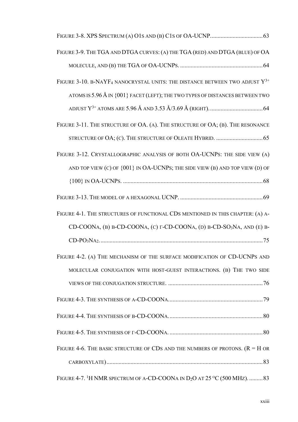| FIGURE 3-9. THE TGA AND DTGA CURVES: (A) THE TGA (RED) AND DTGA (BLUE) OF OA                 |
|----------------------------------------------------------------------------------------------|
|                                                                                              |
| FIGURE 3-10. B-NAYF <sub>4</sub> NANOCRYSTAL UNITS: THE DISTANCE BETWEEN TWO ADJUST $Y^{3+}$ |
| ATOMS IS $5.96 \text{ Å}$ IN $\{001\}$ FACET (LEFT); THE TWO TYPES OF DISTANCES BETWEEN TWO  |
|                                                                                              |
| FIGURE 3-11. THE STRUCTURE OF OA. (A). THE STRUCTURE OF OA; (B). THE RESONANCE               |
|                                                                                              |
| FIGURE 3-12. CRYSTALLOGRAPHIC ANALYSIS OF BOTH OA-UCNPS: THE SIDE VIEW (A)                   |
| AND TOP VIEW (C) OF $\{001\}$ IN OA-UCNPs; THE SIDE VIEW (B) AND TOP VIEW (D) OF             |
|                                                                                              |
|                                                                                              |
| FIGURE 4-1. THE STRUCTURES OF FUNCTIONAL CDS MENTIONED IN THIS CHAPTER: (A) A-               |
| CD-COONA, (B) B-CD-COONA, (C) $\Gamma$ -CD-COONA, (D) B-CD-SO <sub>3</sub> NA, AND (E) B-    |
| $CD-PO3NA275$                                                                                |
| FIGURE 4-2. (A) THE MECHANISM OF THE SURFACE MODIFICATION OF CD-UCNPS AND                    |
| MOLECULAR CONJUGATION WITH HOST-GUEST INTERACTIONS. (B) THE TWO SIDE                         |
|                                                                                              |
|                                                                                              |
|                                                                                              |
|                                                                                              |
| FIGURE 4-6. THE BASIC STRUCTURE OF CDS AND THE NUMBERS OF PROTONS. $(R = H \text{ OR})$      |
|                                                                                              |
| FIGURE 4-7. <sup>1</sup> H NMR SPECTRUM OF A-CD-COONA IN $D_2O$ AT 25 °C (500 MHz).  83      |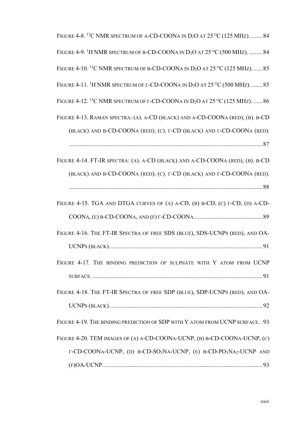| FIGURE 4-8. <sup>13</sup> C NMR SPECTRUM OF A-CD-COONA IN $D_2O$ AT 25 °C (125 MHz)84                                   |
|-------------------------------------------------------------------------------------------------------------------------|
| FIGURE 4-9. <sup>1</sup> H NMR SPECTRUM OF B-CD-COONA IN $D_2O$ AT 25 °C (500 MHz).  84                                 |
| FIGURE 4-10. <sup>13</sup> C NMR SPECTRUM OF B-CD-COONA IN D <sub>2</sub> O AT 25 <sup>o</sup> C (125 MHz).  85         |
| FIGURE 4-11. <sup>1</sup> H NMR SPECTRUM OF $\Gamma$ -CD-COONA IN D <sub>2</sub> O AT 25 °C (500 MHz).  85              |
| FIGURE 4-12. <sup>13</sup> C NMR SPECTRUM OF $\Gamma$ -CD-COONA IN D <sub>2</sub> O AT 25 <sup>o</sup> C (125 MHz).  86 |
| FIGURE 4-13. RAMAN SPECTRA: (A). A-CD (BLACK) AND A-CD-COONA (RED); (B). B-CD                                           |
| (BLACK) AND B-CD-COONA (RED); (C). Г-CD (BLACK) AND Г-CD-COONA (RED).                                                   |
|                                                                                                                         |
| FIGURE 4-14. FT-IR SPECTRA: (A). A-CD (BLACK) AND A-CD-COONA (RED); (B). B-CD                                           |
| (BLACK) AND B-CD-COONA (RED); (C). $\Gamma$ -CD (BLACK) AND $\Gamma$ -CD-COONA (RED).                                   |
|                                                                                                                         |
| FIGURE 4-15. TGA AND DTGA CURVES OF (A) A-CD, (B) B-CD, (C) $\Gamma$ -CD, (D) A-CD-                                     |
|                                                                                                                         |
| FIGURE 4-16. THE FT-IR SPECTRA OF FREE SDS (BLUE), SDS-UCNPS (RED), AND OA-                                             |
|                                                                                                                         |
| FIGURE 4-17. THE BINDING PREDICTION OF SULPHATE WITH Y ATOM FROM UCNP                                                   |
|                                                                                                                         |
| FIGURE 4-18. THE FT-IR SPECTRA OF FREE SDP (BLUE), SDP-UCNPS (RED), AND OA-                                             |
|                                                                                                                         |
| FIGURE 4-19. THE BINDING PREDICTION OF SDP WITH Y ATOM FROM UCNP SURFACE. . 93                                          |
| FIGURE 4-20. TEM IMAGES OF (A) A-CD-COONA-UCNP, (B) B-CD-COONA-UCNP, (C)                                                |
| Γ-CD-COONA-UCNP, (D) B-CD-SO <sub>3</sub> NA-UCNP, (E) B-CD-PO <sub>3</sub> NA <sub>2</sub> -UCNP AND                   |
|                                                                                                                         |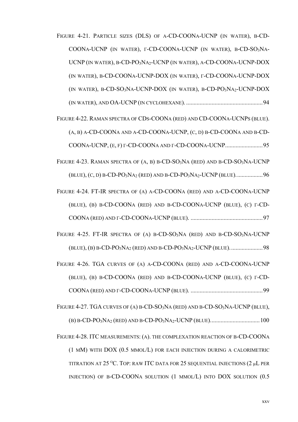FIGURE 4-21. PARTICLE SIZES (DLS) OF A-CD-COONA-UCNP (IN WATER), B-CD-COONA-UCNP (IN WATER), F-CD-COONA-UCNP (IN WATER), B-CD-SO3NA-UCNP (IN WATER), B-CD-PO3NA2-UCNP (IN WATER), A-CD-COONA-UCNP-DOX (IN WATER), B-CD-COONA-UCNP-DOX (IN WATER), F-CD-COONA-UCNP-DOX (IN WATER), B-CD-SO<sub>3</sub>NA-UCNP-DOX (IN WATER), B-CD-PO<sub>3</sub>NA<sub>2</sub>-UCNP-DOX FIGURE 4-22. RAMAN SPECTRA OF CDS-COONA (RED) AND CD-COONA-UCNPS (BLUE).  $(A, B)$  A-CD-COONA AND A-CD-COONA-UCNP,  $(C, D)$  B-CD-COONA AND B-CD-FIGURE 4-23. RAMAN SPECTRA OF  $(A, B)$  B-CD-SO<sub>3</sub>NA (RED) AND B-CD-SO<sub>3</sub>NA-UCNP (BLUE),  $(C, D)$  B-CD-PO<sub>3</sub>NA<sub>2</sub> (RED) AND B-CD-PO<sub>3</sub>NA<sub>2</sub>-UCNP (BLUE).........................96 FIGURE 4-24. FT-IR SPECTRA OF (A) A-CD-COONA (RED) AND A-CD-COONA-UCNP (BLUE), (B) B-CD-COONA (RED) AND B-CD-COONA-UCNP (BLUE), (C) T-CD-FIGURE 4-25. FT-IR SPECTRA OF (A) B-CD-SO<sub>3</sub>NA (RED) AND B-CD-SO<sub>3</sub>NA-UCNP FIGURE 4-26. TGA CURVES OF (A) A-CD-COONA (RED) AND A-CD-COONA-UCNP (BLUE), (B) B-CD-COONA (RED) AND B-CD-COONA-UCNP (BLUE), (C) T-CD-FIGURE 4-27. TGA CURVES OF (A) B-CD-SO<sub>3</sub>NA (RED) AND B-CD-SO<sub>3</sub>NA-UCNP (BLUE), FIGURE 4-28. ITC MEASUREMENTS: (A). THE COMPLEXATION REACTION OF B-CD-COONA (1 MM) WITH DOX (0.5 MMOL/L) FOR EACH INJECTION DURING A CALORIMETRIC TITRATION AT 25 °C. TOP: RAW ITC DATA FOR 25 SEQUENTIAL INJECTIONS (2 µL PER INJECTION) OF B-CD-COONA SOLUTION (1 MMOL/L) INTO DOX SOLUTION (0.5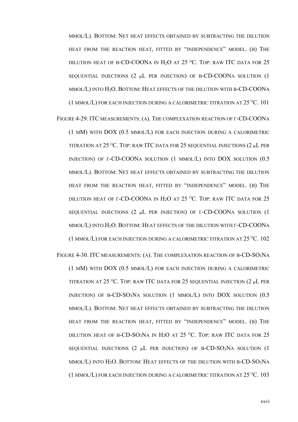MMOL/L). BOTTOM: NET HEAT EFFECTS OBTAINED BY SUBTRACTING THE DILUTION HEAT FROM THE REACTION HEAT, FITTED BY "INDEPENDENCE" MODEL. (B) THE DILUTION HEAT OF B-CD-COONA IN H<sub>2</sub>O AT 25 °C. TOP: RAW ITC DATA FOR 25 SEQUENTIAL INJECTIONS (2 µL PER INJECTION) OF B-CD-COONA SOLUTION (1 MMOL/L) INTO H<sub>2</sub>O. BOTTOM: HEAT EFFECTS OF THE DILUTION WITH B-CD-COONA (1 MMOL/L) FOR EACH INJECTION DURING A CALORIMETRIC TITRATION AT  $25\,^{\circ}\text{C}$ . 101

FIGURE 4-29. ITC MEASUREMENTS: (A). THE COMPLEXATION REACTION OF  $\Gamma$ -CD-COONA (1 MM) WITH DOX (0.5 MMOL/L) FOR EACH INJECTION DURING A CALORIMETRIC TITRATION AT 25 °C. TOP: RAW ITC DATA FOR 25 SEQUENTIAL INJECTIONS (2 µL PER INJECTION) OF T-CD-COONA SOLUTION (1 MMOL/L) INTO DOX SOLUTION (0.5 MMOL/L). BOTTOM: NET HEAT EFFECTS OBTAINED BY SUBTRACTING THE DILUTION HEAT FROM THE REACTION HEAT, FITTED BY "INDEPENDENCE" MODEL. (B) THE DILUTION HEAT OF  $\Gamma$ -CD-COONA IN H<sub>2</sub>O AT 25 °C. TOP: RAW ITC DATA FOR 25 SEQUENTIAL INJECTIONS (2 µL PER INJECTION) OF  $\Gamma$ -CD-COONA SOLUTION (1 MMOL/L) INTO H<sub>2</sub>O. BOTTOM: HEAT EFFECTS OF THE DILUTION WITH  $\Gamma$ -CD-COONA (1 MMOL/L) FOR EACH INJECTION DURING A CALORIMETRIC TITRATION AT  $25^{\circ}$ C. 102

FIGURE 4-30. ITC MEASUREMENTS: (A). THE COMPLEXATION REACTION OF B-CD-SO<sub>3</sub>NA (1 MM) WITH DOX (0.5 MMOL/L) FOR EACH INJECTION DURING A CALORIMETRIC TITRATION AT 25 °C. TOP: RAW ITC DATA FOR 25 SEQUENTIAL INJECTION (2 µL PER INJECTION) OF B-CD-SO<sub>3</sub>NA SOLUTION  $(1 \text{ MMOL/L})$  INTO DOX SOLUTION  $(0.5$ MMOL/L). BOTTOM: NET HEAT EFFECTS OBTAINED BY SUBTRACTING THE DILUTION HEAT FROM THE REACTION HEAT, FITTED BY "INDEPENDENCE" MODEL. (B) THE DILUTION HEAT OF B-CD-SO<sub>3</sub>NA IN H<sub>2</sub>O AT 25 °C. TOP: RAW ITC DATA FOR 25 SEQUENTIAL INJECTIONS (2 µL PER INJECTION) OF B-CD-SO3NA SOLUTION (1  $MMOL(L)$  INTO  $H_2O$ . BOTTOM: HEAT EFFECTS OF THE DILUTION WITH B-CD-SO<sub>3</sub>NA (1 MMOL/L) FOR EACH INJECTION DURING A CALORIMETRIC TITRATION AT  $25^{\circ}$ C. 103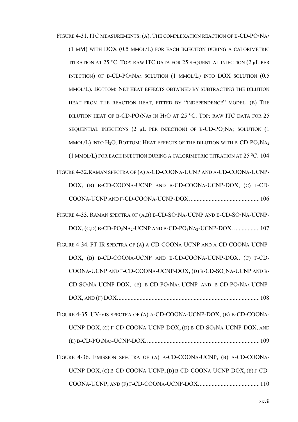FIGURE 4-31. ITC MEASUREMENTS: (A). THE COMPLEXATION REACTION OF B-CD-PO<sub>3</sub>NA<sub>2</sub> (1 MM) WITH DOX (0.5 MMOL/L) FOR EACH INJECTION DURING A CALORIMETRIC TITRATION AT 25 °C. TOP: RAW ITC DATA FOR 25 SEQUENTIAL INJECTION (2 µL PER INJECTION) OF B-CD-PO<sub>3</sub>NA<sub>2</sub> SOLUTION (1 MMOL/L) INTO DOX SOLUTION (0.5 MMOL/L). BOTTOM: NET HEAT EFFECTS OBTAINED BY SUBTRACTING THE DILUTION HEAT FROM THE REACTION HEAT, FITTED BY "INDEPENDENCE" MODEL. (B) THE DILUTION HEAT OF B-CD-PO<sub>3</sub>NA<sub>2</sub> IN H<sub>2</sub>O AT 25 °C. TOP: RAW ITC DATA FOR 25 SEQUENTIAL INJECTIONS (2 µL PER INJECTION) OF B-CD-PO3NA2 SOLUTION (1 MMOL/L) INTO  $H_2O$ . BOTTOM: HEAT EFFECTS OF THE DILUTION WITH B-CD-PO<sub>3</sub>NA<sub>2</sub> (1 MMOL/L) FOR EACH INJECTION DURING A CALORIMETRIC TITRATION AT  $25^{\circ}$ C. 104 FIGURE 4-32. RAMAN SPECTRA OF (A) A-CD-COONA-UCNP AND A-CD-COONA-UCNP-DOX, (B) B-CD-COONA-UCNP AND B-CD-COONA-UCNP-DOX, (C) T-CD-FIGURE 4-33. RAMAN SPECTRA OF (A,B) B-CD-SO<sub>3</sub>NA-UCNP AND B-CD-SO<sub>3</sub>NA-UCNP-FIGURE 4-34. FT-IR SPECTRA OF (A) A-CD-COONA-UCNP AND A-CD-COONA-UCNP-DOX, (B) B-CD-COONA-UCNP AND B-CD-COONA-UCNP-DOX, (C) T-CD-COONA-UCNP AND F-CD-COONA-UCNP-DOX, (D) B-CD-SO3NA-UCNP AND B-CD-SO<sub>3</sub>NA-UCNP-DOX, (E) B-CD-PO<sub>3</sub>NA<sub>2</sub>-UCNP AND B-CD-PO<sub>3</sub>NA<sub>2</sub>-UCNP-FIGURE 4-35. UV-VIS SPECTRA OF (A) A-CD-COONA-UCNP-DOX, (B) B-CD-COONA-UCNP-DOX,  $(C)$   $\Gamma$ -CD-COONA-UCNP-DOX,  $(D)$  B-CD-SO<sub>3</sub>NA-UCNP-DOX, AND FIGURE 4-36. EMISSION SPECTRA OF (A) A-CD-COONA-UCNP, (B) A-CD-COONA-UCNP-DOX,  $(C)$  B-CD-COONA-UCNP,  $(D)$  B-CD-COONA-UCNP-DOX,  $(E)$   $\Gamma$ -CD-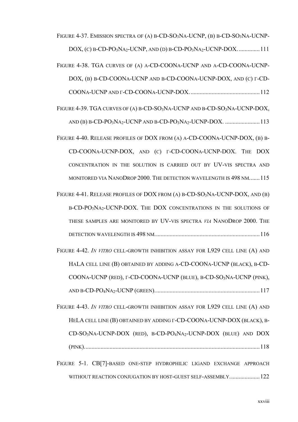FIGURE 4-37. EMISSION SPECTRA OF (A) B-CD-SO<sub>3</sub>NA-UCNP, (B) B-CD-SO<sub>3</sub>NA-UCNP- $DOX$ , (c) B-CD-PO<sub>3</sub>NA<sub>2</sub>-UCNP, AND (D) B-CD-PO<sub>3</sub>NA<sub>2</sub>-UCNP-DOX................111 FIGURE 4-38. TGA CURVES OF (A) A-CD-COONA-UCNP AND A-CD-COONA-UCNP-DOX, (B) B-CD-COONA-UCNP AND B-CD-COONA-UCNP-DOX, AND (C)  $\Gamma$ -CD-FIGURE 4-39. TGA CURVES OF (A) B-CD-SO<sub>3</sub>NA-UCNP AND B-CD-SO<sub>3</sub>NA-UCNP-DOX, FIGURE 4-40. RELEASE PROFILES OF DOX FROM (A) A-CD-COONA-UCNP-DOX, (B) B-CD-COONA-UCNP-DOX, AND (C) T-CD-COONA-UCNP-DOX. THE DOX CONCENTRATION IN THE SOLUTION IS CARRIED OUT BY UV-VIS SPECTRA AND MONITORED VIA NANODROP 2000. THE DETECTION WAVELENGTH IS 498 NM....... 115 FIGURE 4-41. RELEASE PROFILES OF DOX FROM (A) B-CD-SO<sub>3</sub>NA-UCNP-DOX, AND (B) B-CD-PO3NA2-UCNP-DOX. THE DOX CONCENTRATIONS IN THE SOLUTIONS OF THESE SAMPLES ARE MONITORED BY UV-VIS SPECTRA VIA NANODROP 2000. THE FIGURE 4-42. IN VITRO CELL-GROWTH INHIBITION ASSAY FOR L929 CELL LINE (A) AND HALA CELL LINE (B) OBTAINED BY ADDING A-CD-COONA-UCNP (BLACK), B-CD-COONA-UCNP (RED), F-CD-COONA-UCNP (BLUE), B-CD-SO3NA-UCNP (PINK), FIGURE 4-43. IN VITRO CELL-GROWTH INHIBITION ASSAY FOR L929 CELL LINE (A) AND HELA CELL LINE (B) OBTAINED BY ADDING  $\Gamma$ -CD-COONA-UCNP-DOX (BLACK), B- $CD$ -SO<sub>3</sub>NA-UCNP-DOX (RED), B-CD-PO<sub>4</sub>NA<sub>2</sub>-UCNP-DOX (BLUE) AND DOX 

FIGURE 5-1. CB[7]-BASED ONE-STEP HYDROPHILIC LIGAND EXCHANGE APPROACH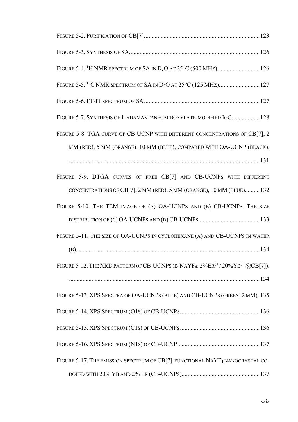| FIGURE 5-7. SYNTHESIS OF 1-ADAMANTANECARBOXYLATE-MODIFIED IGG.  128                               |
|---------------------------------------------------------------------------------------------------|
| FIGURE 5-8. TGA CURVE OF CB-UCNP WITH DIFFERENT CONCENTRATIONS OF CB[7], 2                        |
| MM (RED), 5 MM (ORANGE), 10 MM (BLUE), COMPARED WITH OA-UCNP (BLACK).                             |
|                                                                                                   |
| FIGURE 5-9. DTGA CURVES OF FREE CB[7] AND CB-UCNPS WITH DIFFERENT                                 |
| CONCENTRATIONS OF CB[7], 2 MM (RED), 5 MM (ORANGE), 10 MM (BLUE).  132                            |
| FIGURE 5-10. THE TEM IMAGE OF (A) OA-UCNPS AND (B) CB-UCNPS. THE SIZE                             |
|                                                                                                   |
| FIGURE 5-11. THE SIZE OF OA-UCNPS IN CYCLOHEXANE (A) AND CB-UCNPS IN WATER                        |
|                                                                                                   |
| FIGURE 5-12. THE XRD PATTERN OF CB-UCNPS (B-NAYF <sub>4</sub> : $2\%ER^{3+}/20\%YB^{3+}$ @CB[7]). |
|                                                                                                   |
| FIGURE 5-13. XPS SPECTRA OF OA-UCNPS (BLUE) AND CB-UCNPS (GREEN, 2 MM). 135                       |
|                                                                                                   |
|                                                                                                   |
|                                                                                                   |
| FIGURE 5-17. THE EMISSION SPECTRUM OF CB[7]-FUNCTIONAL NAYF4 NANOCRYSTAL CO-                      |
|                                                                                                   |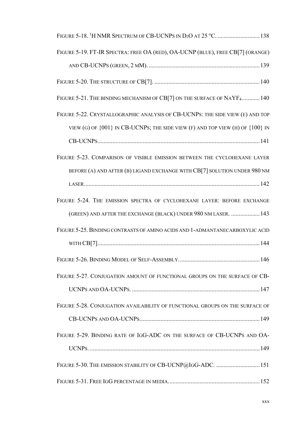| FIGURE 5-19. FT-IR SPECTRA: FREE OA (RED), OA-UCNP (BLUE), FREE CB[7] (ORANGE)        |
|---------------------------------------------------------------------------------------|
|                                                                                       |
|                                                                                       |
| FIGURE 5-21. THE BINDING MECHANISM OF CB[7] ON THE SURFACE OF NAYF4140                |
| FIGURE 5-22. CRYSTALLOGRAPHIC ANALYSIS OF CB-UCNPS: THE SIDE VIEW (E) AND TOP         |
| VIEW (G) OF $\{001\}$ IN CB-UCNPs; THE SIDE VIEW (F) AND TOP VIEW (H) OF $\{100\}$ IN |
|                                                                                       |
| FIGURE 5-23. COMPARISON OF VISIBLE EMISSION BETWEEN THE CYCLOHEXANE LAYER             |
| BEFORE (A) AND AFTER (B) LIGAND EXCHANGE WITH CB[7] SOLUTION UNDER 980 NM             |
|                                                                                       |
| FIGURE 5-24. THE EMISSION SPECTRA OF CYCLOHEXANE LAYER: BEFORE EXCHANGE               |
| (GREEN) AND AFTER THE EXCHANGE (BLACK) UNDER 980 NM LASER.  143                       |
| FIGURE 5-25. BINDING CONTRASTS OF AMINO ACIDS AND 1-ADMANTANECARBOXYLIC ACID          |
|                                                                                       |
|                                                                                       |
| FIGURE 5-27. CONJUGATION AMOUNT OF FUNCTIONAL GROUPS ON THE SURFACE OF CB-            |
|                                                                                       |
| FIGURE 5-28. CONJUGATION AVAILABILITY OF FUNCTIONAL GROUPS ON THE SURFACE OF          |
|                                                                                       |
| FIGURE 5-29. BINDING RATE OF IGG-ADC ON THE SURFACE OF CB-UCNPS AND OA-               |
|                                                                                       |
| FIGURE 5-30. THE EMISSION STABILITY OF CB-UCNP@IGG-ADC.  151                          |
|                                                                                       |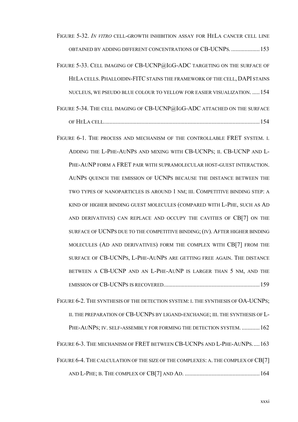- FIGURE 5-32. IN VITRO CELL-GROWTH INHIBITION ASSAY FOR HELA CANCER CELL LINE OBTAINED BY ADDING DIFFERENT CONCENTRATIONS OF CB-UCNPS...................... 153
- FIGURE 5-33. CELL IMAGING OF CB-UCNP@IGG-ADC TARGETING ON THE SURFACE OF HELA CELLS. PHALLOIDIN-FITC STAINS THE FRAMEWORK OF THE CELL, DAPI STAINS NUCLEUS, WE PSEUDO BLUE COLOUR TO YELLOW FOR EASIER VISUALIZATION. ..... 154
- FIGURE 5-34. THE CELL IMAGING OF CB-UCNP@IGG-ADC ATTACHED ON THE SURFACE
- FIGURE 6-1. THE PROCESS AND MECHANISM OF THE CONTROLLABLE FRET SYSTEM. I. ADDING THE L-PHE-AUNPS AND MIXING WITH CB-UCNPS: II. CB-UCNP AND L-PHE-AUNP FORM A FRET PAIR WITH SUPRAMOLECULAR HOST-GUEST INTERACTION. AUNPS QUENCH THE EMISSION OF UCNPS BECAUSE THE DISTANCE BETWEEN THE TWO TYPES OF NANOPARTICLES IS AROUND 1 NM; III. COMPETITIVE BINDING STEP: A KIND OF HIGHER BINDING GUEST MOLECULES (COMPARED WITH L-PHE, SUCH AS AD AND DERIVATIVES) CAN REPLACE AND OCCUPY THE CAVITIES OF CB[7] ON THE SURFACE OF UCNPS DUE TO THE COMPETITIVE BINDING; (IV). AFTER HIGHER BINDING MOLECULES (AD AND DERIVATIVES) FORM THE COMPLEX WITH CB[7] FROM THE SURFACE OF CB-UCNPS, L-PHE-AUNPS ARE GETTING FREE AGAIN. THE DISTANCE BETWEEN A CB-UCNP AND AN L-PHE-AUNP IS LARGER THAN 5 NM, AND THE
- FIGURE 6-2. THE SYNTHESIS OF THE DETECTION SYSTEM: I. THE SYNTHESIS OF OA-UCNPS; II. THE PREPARATION OF CB-UCNPS BY LIGAND-EXCHANGE; III. THE SYNTHESIS OF L-PHE-AUNPS; IV. SELF-ASSEMBLY FOR FORMING THE DETECTION SYSTEM. ............ 162 FIGURE 6-3. THE MECHANISM OF FRET BETWEEN CB-UCNPS AND L-PHE-AUNPS..... 163 FIGURE 6-4. THE CALCULATION OF THE SIZE OF THE COMPLEXES: A. THE COMPLEX OF CB[7]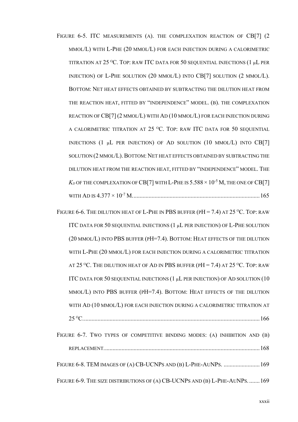- FIGURE 6-5. ITC MEASUREMENTS (A). THE COMPLEXATION REACTION OF CB[7] (2) MMOL/L) WITH L-PHE (20 MMOL/L) FOR EACH INJECTION DURING A CALORIMETRIC TITRATION AT 25 °C. TOP: RAW ITC DATA FOR 50 SEQUENTIAL INJECTIONS (1 µL PER INJECTION) OF L-PHE SOLUTION (20 MMOL/L) INTO CB[7] SOLUTION (2 MMOL/L). BOTTOM: NET HEAT EFFECTS OBTAINED BY SUBTRACTING THE DILUTION HEAT FROM THE REACTION HEAT, FITTED BY "INDEPENDENCE" MODEL. (B). THE COMPLEXATION REACTION OF CB[7] (2 MMOL/L) WITH AD (10 MMOL/L) FOR EACH INJECTION DURING A CALORIMETRIC TITRATION AT 25 °C. TOP: RAW ITC DATA FOR 50 SEOUENTIAL INJECTIONS (1  $\mu$ L PER INJECTION) OF AD SOLUTION (10 MMOL/L) INTO CB[7] SOLUTION (2 MMOL/L). BOTTOM: NET HEAT EFFECTS OBTAINED BY SUBTRACTING THE DILUTION HEAT FROM THE REACTION HEAT, FITTED BY "INDEPENDENCE" MODEL. THE  $K_D$  of the complexation of CB[7] with L-Phe is  $5.588 \times 10^{-5}$  M, the one of CB[7]
- FIGURE 6-6. THE DILUTION HEAT OF L-PHE IN PBS BUFFER (PH = 7.4) AT 25 °C. TOP: RAW ITC DATA FOR 50 SEQUENTIAL INJECTIONS (1 µL PER INJECTION) OF L-PHE SOLUTION (20 MMOL/L) INTO PBS BUFFER (PH=7.4). BOTTOM: HEAT EFFECTS OF THE DILUTION WITH L-PHE (20 MMOL/L) FOR EACH INJECTION DURING A CALORIMETRIC TITRATION AT 25 °C. THE DILUTION HEAT OF AD IN PBS BUFFER (PH = 7.4) AT 25 °C. TOP: RAW ITC DATA FOR 50 SEQUENTIAL INJECTIONS (1 µL PER INJECTION) OF AD SOLUTION (10 MMOL/L) INTO PBS BUFFER (PH=7.4). BOTTOM: HEAT EFFECTS OF THE DILUTION WITH AD (10 MMOL/L) FOR EACH INJECTION DURING A CALORIMETRIC TITRATION AT FIGURE 6-7. TWO TYPES OF COMPETITIVE BINDING MODES: (A) INHIBITION AND (B) FIGURE 6-8. TEM IMAGES OF (A) CB-UCNPS AND (B) L-PHE-AUNPS. ....................... 169 FIGURE 6-9. THE SIZE DISTRIBUTIONS OF (A) CB-UCNPS AND (B) L-PHE-AUNPS........169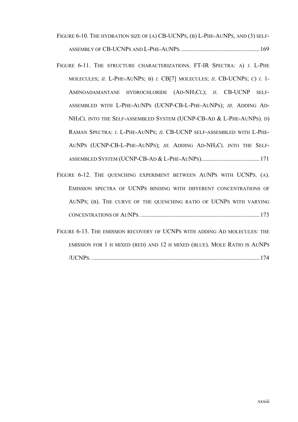- FIGURE 6-10. THE HYDRATION SIZE OF (A) CB-UCNPS, (B) L-PHE-AUNPS, AND (3) SELF-
- FIGURE 6-11. THE STRUCTURE CHARACTERIZATIONS. FT-IR SPECTRA: A) I. L-PHE MOLECULES; II. L-PHE-AUNPS; B) I. CB[7] MOLECULES; II. CB-UCNPS; C) I. 1-AMINOADAMANTANE HYDROCHLORIDE (AD-NH<sub>3</sub>CL); II. CB-UCNP SELF-ASSEMBLED WITH L-PHE-AUNPS (UCNP-CB-L-PHE-AUNPS); III. ADDING AD-NH<sub>3</sub>CL INTO THE SELF-ASSEMBLED SYSTEM (UCNP-CB-AD & L-PHE-AUNPS). D) RAMAN SPECTRA: I. L-PHE-AUNPS; II. CB-UCNP SELF-ASSEMBLED WITH L-PHE-AUNPS (UCNP-CB-L-PHE-AUNPS); III. ADDING AD-NH<sub>3</sub>CL INTO THE SELF-
- FIGURE 6-12. THE QUENCHING EXPERIMENT BETWEEN AUNPS WITH UCNPS. (A). EMISSION SPECTRA OF UCNPS BINDING WITH DIFFERENT CONCENTRATIONS OF AUNPS; (B). THE CURVE OF THE QUENCHING RATIO OF UCNPS WITH VARYING
- FIGURE 6-13. THE EMISSION RECOVERY OF UCNPS WITH ADDING AD MOLECULES: THE EMISSION FOR 1 H MIXED (RED) AND 12 H MIXED (BLUE). MOLE RATIO IS AUNPS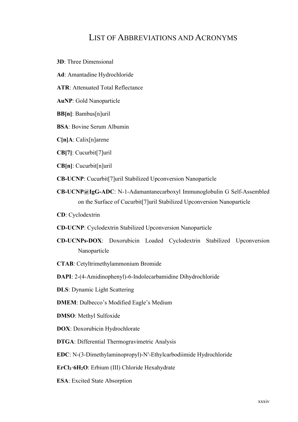### **LIST OF ABBREVIATIONS AND ACRONYMS**

- **3D**: Three Dimensional
- Ad: Amantadine Hydrochloride
- **ATR:** Attenuated Total Reflectance
- **AuNP:** Gold Nanoparticle
- **BB**[n]: Bambus[n]uril
- **BSA:** Bovine Serum Albumin
- $C[n]A:$  Calix[n]arene
- CB[7]: Cucurbit[7]uril
- $CB[n]$ : Cucurbit[n]uril
- **CB-UCNP:** Cucurbit<sup>[7]</sup>uril Stabilized Upconversion Nanoparticle
- CB-UCNP@IgG-ADC: N-1-Adamantanecarboxyl Immunoglobulin G Self-Assembled on the Surface of Cucurbit<sup>[7]</sup>uril Stabilized Upconversion Nanoparticle
- **CD**: Cyclodextrin
- **CD-UCNP:** Cyclodextrin Stabilized Upconversion Nanoparticle
- CD-UCNPs-DOX: Doxorubicin Loaded Cyclodextrin Stabilized Upconversion Nanoparticle
- **CTAB:** Cetyltrimethylammonium Bromide
- DAPI: 2-(4-Amidinophenyl)-6-Indolecarbamidine Dihydrochloride
- **DLS:** Dynamic Light Scattering
- **DMEM**: Dulbecco's Modified Eagle's Medium
- **DMSO:** Methyl Sulfoxide
- **DOX:** Doxorubicin Hydrochlorate
- **DTGA:** Differential Thermogravimetric Analysis
- EDC: N-(3-Dimethylaminopropyl)-N'-Ethylcarbodiimide Hydrochloride
- ErCl<sub>3</sub>·6H<sub>2</sub>O: Erbium (III) Chloride Hexahydrate
- **ESA:** Excited State Absorption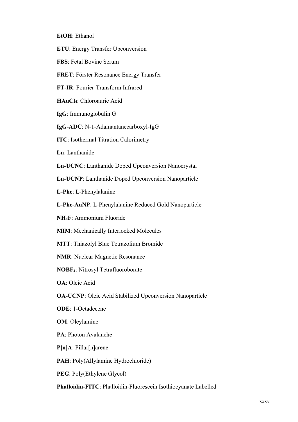#### EtOH: Ethanol

- **ETU:** Energy Transfer Upconversion
- **FBS:** Fetal Bovine Serum
- FRET: Förster Resonance Energy Transfer
- FT-IR: Fourier-Transform Infrared
- HAuCl<sub>4</sub>: Chloroauric Acid
- IgG: Immunoglobulin G
- IgG-ADC: N-1-Adamantanecarboxyl-IgG
- **ITC:** Isothermal Titration Calorimetry
- Ln: Lanthanide
- Ln-UCNC: Lanthanide Doped Upconversion Nanocrystal
- Ln-UCNP: Lanthanide Doped Upconversion Nanoparticle
- L-Phe: L-Phenylalanine
- L-Phe-AuNP: L-Phenylalanine Reduced Gold Nanoparticle
- NH<sub>4</sub>F: Ammonium Fluoride
- **MIM:** Mechanically Interlocked Molecules
- MTT: Thiazolyl Blue Tetrazolium Bromide
- **NMR: Nuclear Magnetic Resonance**
- NOBF4: Nitrosyl Tetrafluoroborate
- **OA**: Oleic Acid
- **OA-UCNP:** Oleic Acid Stabilized Upconversion Nanoparticle
- **ODE: 1-Octadecene**
- **OM**: Oleylamine
- **PA**: Photon Avalanche
- $P[n]A: Pillar[n]$ arene
- PAH: Poly(Allylamine Hydrochloride)
- **PEG:** Poly(Ethylene Glycol)
- Phalloidin-FITC: Phalloidin-Fluorescein Isothiocyanate Labelled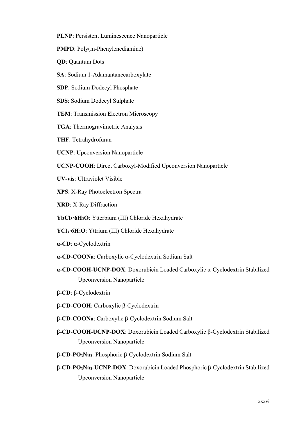- **PLNP**: Persistent Luminescence Nanoparticle
- **PMPD**: Poly(m-Phenylenediamine)
- **QD**: Quantum Dots
- **SA**: Sodium 1-Adamantanecarboxylate
- **SDP**: Sodium Dodecyl Phosphate
- **SDS: Sodium Dodecyl Sulphate**
- **TEM: Transmission Electron Microscopy**
- **TGA:** Thermogravimetric Analysis
- **THF: Tetrahydrofuran**
- **UCNP**: Upconversion Nanoparticle
- UCNP-COOH: Direct Carboxyl-Modified Upconversion Nanoparticle
- **UV-vis:** Ultraviolet Visible
- **XPS: X-Ray Photoelectron Spectra**
- XRD: X-Ray Diffraction
- YbCl<sub>3</sub>·6H<sub>2</sub>O: Ytterbium (III) Chloride Hexahydrate
- **YCl<sub>3</sub>** 6H<sub>2</sub>O: Yttrium (III) Chloride Hexahydrate
- $\alpha$ -CD:  $\alpha$ -Cyclodextrin
- $\alpha$ -CD-COONa: Carboxylic  $\alpha$ -Cyclodextrin Sodium Salt
- a-CD-COOH-UCNP-DOX: Doxorubicin Loaded Carboxylic a-Cyclodextrin Stabilized Upconversion Nanoparticle
- $\beta$ -CD:  $\beta$ -Cyclodextrin
- **β-CD-COOH**: Carboxylic β-Cyclodextrin
- $\beta$ -**CD-COONa**: Carboxylic β-Cyclodextrin Sodium Salt
- **β-CD-COOH-UCNP-DOX:** Doxorubicin Loaded Carboxylic β-Cyclodextrin Stabilized Upconversion Nanoparticle
- **β-CD-PO<sub>3</sub>Na<sub>2</sub>**: Phosphoric β-Cyclodextrin Sodium Salt
- $\beta$ -**CD-PO<sub>3</sub>Na<sub>2</sub>-UCNP-DOX**: Doxorubicin Loaded Phosphoric β-Cyclodextrin Stabilized Upconversion Nanoparticle